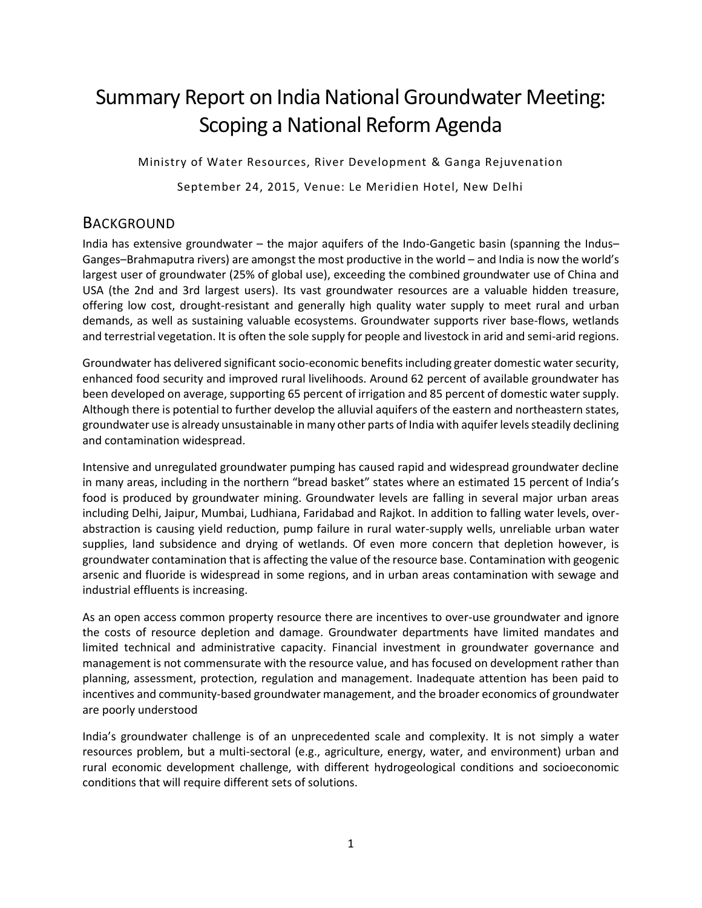# Summary Report on India National Groundwater Meeting: Scoping a National Reform Agenda

Ministry of Water Resources, River Development & Ganga Rejuvenation

September 24, 2015, Venue: Le Meridien Hotel, New Delhi

### **BACKGROUND**

India has extensive groundwater – the major aquifers of the Indo-Gangetic basin (spanning the Indus– Ganges–Brahmaputra rivers) are amongst the most productive in the world – and India is now the world's largest user of groundwater (25% of global use), exceeding the combined groundwater use of China and USA (the 2nd and 3rd largest users). Its vast groundwater resources are a valuable hidden treasure, offering low cost, drought-resistant and generally high quality water supply to meet rural and urban demands, as well as sustaining valuable ecosystems. Groundwater supports river base-flows, wetlands and terrestrial vegetation. It is often the sole supply for people and livestock in arid and semi-arid regions.

Groundwater has delivered significant socio-economic benefitsincluding greater domestic water security, enhanced food security and improved rural livelihoods. Around 62 percent of available groundwater has been developed on average, supporting 65 percent of irrigation and 85 percent of domestic water supply. Although there is potential to further develop the alluvial aquifers of the eastern and northeastern states, groundwater use is already unsustainable in many other parts of India with aquifer levels steadily declining and contamination widespread.

Intensive and unregulated groundwater pumping has caused rapid and widespread groundwater decline in many areas, including in the northern "bread basket" states where an estimated 15 percent of India's food is produced by groundwater mining. Groundwater levels are falling in several major urban areas including Delhi, Jaipur, Mumbai, Ludhiana, Faridabad and Rajkot. In addition to falling water levels, overabstraction is causing yield reduction, pump failure in rural water-supply wells, unreliable urban water supplies, land subsidence and drying of wetlands. Of even more concern that depletion however, is groundwater contamination that is affecting the value of the resource base. Contamination with geogenic arsenic and fluoride is widespread in some regions, and in urban areas contamination with sewage and industrial effluents is increasing.

As an open access common property resource there are incentives to over-use groundwater and ignore the costs of resource depletion and damage. Groundwater departments have limited mandates and limited technical and administrative capacity. Financial investment in groundwater governance and management is not commensurate with the resource value, and has focused on development rather than planning, assessment, protection, regulation and management. Inadequate attention has been paid to incentives and community-based groundwater management, and the broader economics of groundwater are poorly understood

India's groundwater challenge is of an unprecedented scale and complexity. It is not simply a water resources problem, but a multi-sectoral (e.g., agriculture, energy, water, and environment) urban and rural economic development challenge, with different hydrogeological conditions and socioeconomic conditions that will require different sets of solutions.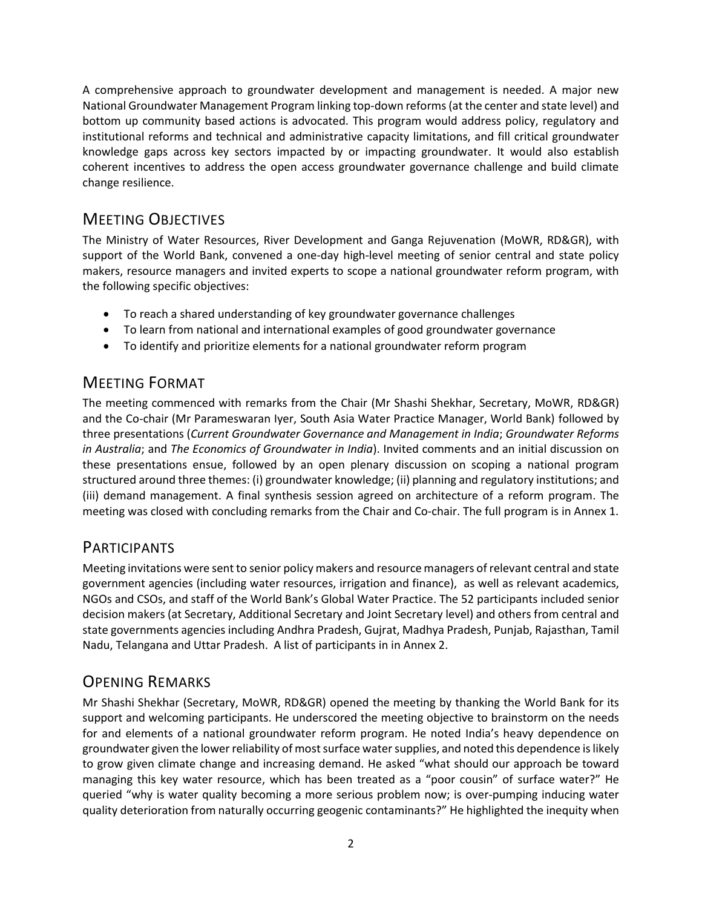A comprehensive approach to groundwater development and management is needed. A major new National Groundwater Management Program linking top-down reforms (at the center and state level) and bottom up community based actions is advocated. This program would address policy, regulatory and institutional reforms and technical and administrative capacity limitations, and fill critical groundwater knowledge gaps across key sectors impacted by or impacting groundwater. It would also establish coherent incentives to address the open access groundwater governance challenge and build climate change resilience.

# MEETING OBJECTIVES

The Ministry of Water Resources, River Development and Ganga Rejuvenation (MoWR, RD&GR), with support of the World Bank, convened a one-day high-level meeting of senior central and state policy makers, resource managers and invited experts to scope a national groundwater reform program, with the following specific objectives:

- To reach a shared understanding of key groundwater governance challenges
- To learn from national and international examples of good groundwater governance
- To identify and prioritize elements for a national groundwater reform program

# MEETING FORMAT

The meeting commenced with remarks from the Chair (Mr Shashi Shekhar, Secretary, MoWR, RD&GR) and the Co-chair (Mr Parameswaran Iyer, South Asia Water Practice Manager, World Bank) followed by three presentations (*Current Groundwater Governance and Management in India*; *Groundwater Reforms in Australia*; and *The Economics of Groundwater in India*). Invited comments and an initial discussion on these presentations ensue, followed by an open plenary discussion on scoping a national program structured around three themes: (i) groundwater knowledge; (ii) planning and regulatory institutions; and (iii) demand management. A final synthesis session agreed on architecture of a reform program. The meeting was closed with concluding remarks from the Chair and Co-chair. The full program is in Annex 1.

### PARTICIPANTS

Meeting invitations were sent to senior policy makers and resource managers of relevant central and state government agencies (including water resources, irrigation and finance), as well as relevant academics, NGOs and CSOs, and staff of the World Bank's Global Water Practice. The 52 participants included senior decision makers (at Secretary, Additional Secretary and Joint Secretary level) and others from central and state governments agencies including Andhra Pradesh, Gujrat, Madhya Pradesh, Punjab, Rajasthan, Tamil Nadu, Telangana and Uttar Pradesh. A list of participants in in Annex 2.

# OPENING REMARKS

Mr Shashi Shekhar (Secretary, MoWR, RD&GR) opened the meeting by thanking the World Bank for its support and welcoming participants. He underscored the meeting objective to brainstorm on the needs for and elements of a national groundwater reform program. He noted India's heavy dependence on groundwater given the lower reliability of most surface water supplies, and noted this dependence is likely to grow given climate change and increasing demand. He asked "what should our approach be toward managing this key water resource, which has been treated as a "poor cousin" of surface water?" He queried "why is water quality becoming a more serious problem now; is over-pumping inducing water quality deterioration from naturally occurring geogenic contaminants?" He highlighted the inequity when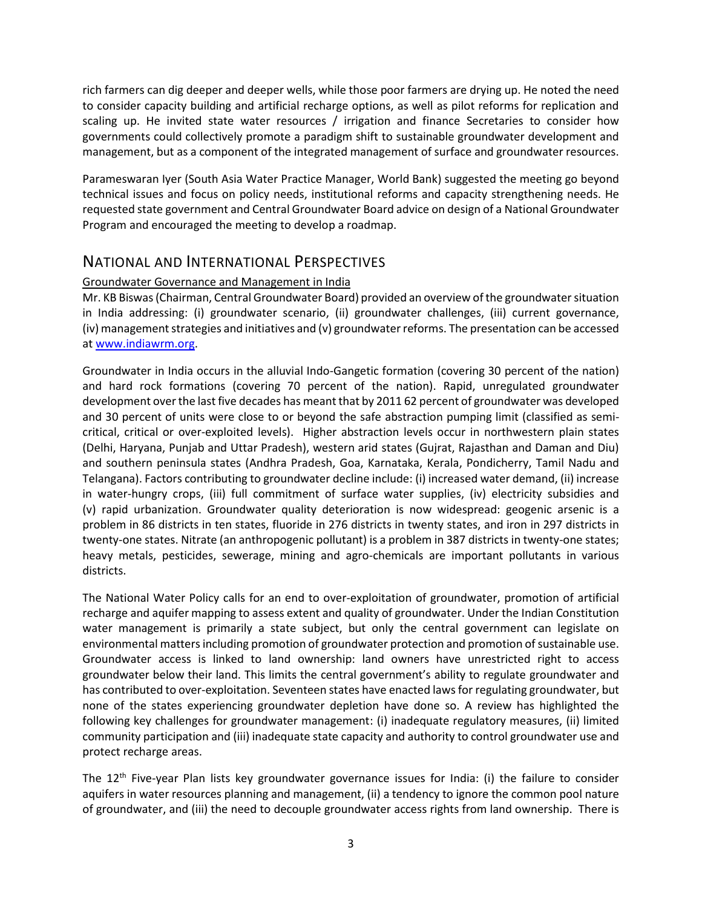rich farmers can dig deeper and deeper wells, while those poor farmers are drying up. He noted the need to consider capacity building and artificial recharge options, as well as pilot reforms for replication and scaling up. He invited state water resources / irrigation and finance Secretaries to consider how governments could collectively promote a paradigm shift to sustainable groundwater development and management, but as a component of the integrated management of surface and groundwater resources.

Parameswaran Iyer (South Asia Water Practice Manager, World Bank) suggested the meeting go beyond technical issues and focus on policy needs, institutional reforms and capacity strengthening needs. He requested state government and Central Groundwater Board advice on design of a National Groundwater Program and encouraged the meeting to develop a roadmap.

### NATIONAL AND INTERNATIONAL PERSPECTIVES

#### Groundwater Governance and Management in India

Mr. KB Biswas(Chairman, Central Groundwater Board) provided an overview of the groundwater situation in India addressing: (i) groundwater scenario, (ii) groundwater challenges, (iii) current governance, (iv) management strategies and initiatives and (v) groundwater reforms. The presentation can be accessed a[t www.indiawrm.org.](http://www.indiawrm.org/)

Groundwater in India occurs in the alluvial Indo-Gangetic formation (covering 30 percent of the nation) and hard rock formations (covering 70 percent of the nation). Rapid, unregulated groundwater development over the last five decades has meant that by 2011 62 percent of groundwater was developed and 30 percent of units were close to or beyond the safe abstraction pumping limit (classified as semicritical, critical or over-exploited levels). Higher abstraction levels occur in northwestern plain states (Delhi, Haryana, Punjab and Uttar Pradesh), western arid states (Gujrat, Rajasthan and Daman and Diu) and southern peninsula states (Andhra Pradesh, Goa, Karnataka, Kerala, Pondicherry, Tamil Nadu and Telangana). Factors contributing to groundwater decline include: (i) increased water demand, (ii) increase in water-hungry crops, (iii) full commitment of surface water supplies, (iv) electricity subsidies and (v) rapid urbanization. Groundwater quality deterioration is now widespread: geogenic arsenic is a problem in 86 districts in ten states, fluoride in 276 districts in twenty states, and iron in 297 districts in twenty-one states. Nitrate (an anthropogenic pollutant) is a problem in 387 districts in twenty-one states; heavy metals, pesticides, sewerage, mining and agro-chemicals are important pollutants in various districts.

The National Water Policy calls for an end to over-exploitation of groundwater, promotion of artificial recharge and aquifer mapping to assess extent and quality of groundwater. Under the Indian Constitution water management is primarily a state subject, but only the central government can legislate on environmental mattersincluding promotion of groundwater protection and promotion of sustainable use. Groundwater access is linked to land ownership: land owners have unrestricted right to access groundwater below their land. This limits the central government's ability to regulate groundwater and has contributed to over-exploitation. Seventeen states have enacted laws for regulating groundwater, but none of the states experiencing groundwater depletion have done so. A review has highlighted the following key challenges for groundwater management: (i) inadequate regulatory measures, (ii) limited community participation and (iii) inadequate state capacity and authority to control groundwater use and protect recharge areas.

The 12<sup>th</sup> Five-year Plan lists key groundwater governance issues for India: (i) the failure to consider aquifers in water resources planning and management, (ii) a tendency to ignore the common pool nature of groundwater, and (iii) the need to decouple groundwater access rights from land ownership. There is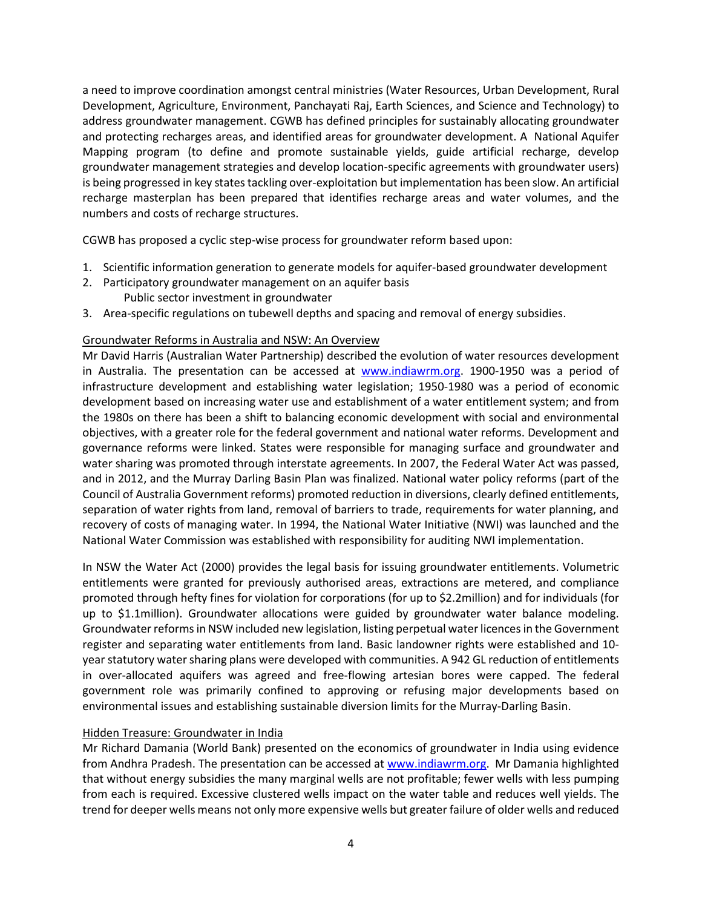a need to improve coordination amongst central ministries (Water Resources, Urban Development, Rural Development, Agriculture, Environment, Panchayati Raj, Earth Sciences, and Science and Technology) to address groundwater management. CGWB has defined principles for sustainably allocating groundwater and protecting recharges areas, and identified areas for groundwater development. A National Aquifer Mapping program (to define and promote sustainable yields, guide artificial recharge, develop groundwater management strategies and develop location-specific agreements with groundwater users) is being progressed in key states tackling over-exploitation but implementation has been slow. An artificial recharge masterplan has been prepared that identifies recharge areas and water volumes, and the numbers and costs of recharge structures.

CGWB has proposed a cyclic step-wise process for groundwater reform based upon:

- 1. Scientific information generation to generate models for aquifer-based groundwater development
- 2. Participatory groundwater management on an aquifer basis Public sector investment in groundwater
- 3. Area-specific regulations on tubewell depths and spacing and removal of energy subsidies.

#### Groundwater Reforms in Australia and NSW: An Overview

Mr David Harris (Australian Water Partnership) described the evolution of water resources development in Australia. The presentation can be accessed at [www.indiawrm.org.](http://www.indiawrm.org/) 1900-1950 was a period of infrastructure development and establishing water legislation; 1950-1980 was a period of economic development based on increasing water use and establishment of a water entitlement system; and from the 1980s on there has been a shift to balancing economic development with social and environmental objectives, with a greater role for the federal government and national water reforms. Development and governance reforms were linked. States were responsible for managing surface and groundwater and water sharing was promoted through interstate agreements. In 2007, the Federal Water Act was passed, and in 2012, and the Murray Darling Basin Plan was finalized. National water policy reforms (part of the Council of Australia Government reforms) promoted reduction in diversions, clearly defined entitlements, separation of water rights from land, removal of barriers to trade, requirements for water planning, and recovery of costs of managing water. In 1994, the National Water Initiative (NWI) was launched and the National Water Commission was established with responsibility for auditing NWI implementation.

In NSW the Water Act (2000) provides the legal basis for issuing groundwater entitlements. Volumetric entitlements were granted for previously authorised areas, extractions are metered, and compliance promoted through hefty fines for violation for corporations (for up to \$2.2million) and for individuals (for up to \$1.1million). Groundwater allocations were guided by groundwater water balance modeling. Groundwater reforms in NSW included new legislation, listing perpetual water licences in the Government register and separating water entitlements from land. Basic landowner rights were established and 10 year statutory water sharing plans were developed with communities. A 942 GL reduction of entitlements in over-allocated aquifers was agreed and free-flowing artesian bores were capped. The federal government role was primarily confined to approving or refusing major developments based on environmental issues and establishing sustainable diversion limits for the Murray-Darling Basin.

#### Hidden Treasure: Groundwater in India

Mr Richard Damania (World Bank) presented on the economics of groundwater in India using evidence from Andhra Pradesh. The presentation can be accessed at [www.indiawrm.org.](http://www.indiawrm.org/) Mr Damania highlighted that without energy subsidies the many marginal wells are not profitable; fewer wells with less pumping from each is required. Excessive clustered wells impact on the water table and reduces well yields. The trend for deeper wells means not only more expensive wells but greater failure of older wells and reduced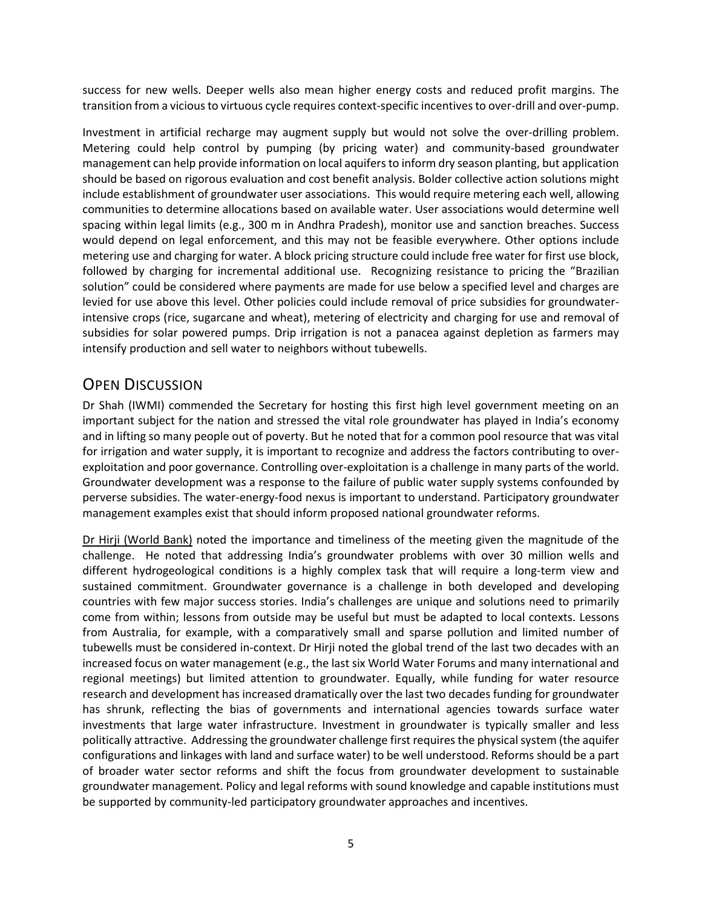success for new wells. Deeper wells also mean higher energy costs and reduced profit margins. The transition from a vicious to virtuous cycle requires context-specific incentives to over-drill and over-pump.

Investment in artificial recharge may augment supply but would not solve the over-drilling problem. Metering could help control by pumping (by pricing water) and community-based groundwater management can help provide information on local aquifers to inform dry season planting, but application should be based on rigorous evaluation and cost benefit analysis. Bolder collective action solutions might include establishment of groundwater user associations. This would require metering each well, allowing communities to determine allocations based on available water. User associations would determine well spacing within legal limits (e.g., 300 m in Andhra Pradesh), monitor use and sanction breaches. Success would depend on legal enforcement, and this may not be feasible everywhere. Other options include metering use and charging for water. A block pricing structure could include free water for first use block, followed by charging for incremental additional use. Recognizing resistance to pricing the "Brazilian solution" could be considered where payments are made for use below a specified level and charges are levied for use above this level. Other policies could include removal of price subsidies for groundwaterintensive crops (rice, sugarcane and wheat), metering of electricity and charging for use and removal of subsidies for solar powered pumps. Drip irrigation is not a panacea against depletion as farmers may intensify production and sell water to neighbors without tubewells.

### OPEN DISCUSSION

Dr Shah (IWMI) commended the Secretary for hosting this first high level government meeting on an important subject for the nation and stressed the vital role groundwater has played in India's economy and in lifting so many people out of poverty. But he noted that for a common pool resource that was vital for irrigation and water supply, it is important to recognize and address the factors contributing to overexploitation and poor governance. Controlling over-exploitation is a challenge in many parts of the world. Groundwater development was a response to the failure of public water supply systems confounded by perverse subsidies. The water-energy-food nexus is important to understand. Participatory groundwater management examples exist that should inform proposed national groundwater reforms.

Dr Hirji (World Bank) noted the importance and timeliness of the meeting given the magnitude of the challenge. He noted that addressing India's groundwater problems with over 30 million wells and different hydrogeological conditions is a highly complex task that will require a long-term view and sustained commitment. Groundwater governance is a challenge in both developed and developing countries with few major success stories. India's challenges are unique and solutions need to primarily come from within; lessons from outside may be useful but must be adapted to local contexts. Lessons from Australia, for example, with a comparatively small and sparse pollution and limited number of tubewells must be considered in-context. Dr Hirji noted the global trend of the last two decades with an increased focus on water management (e.g., the last six World Water Forums and many international and regional meetings) but limited attention to groundwater. Equally, while funding for water resource research and development has increased dramatically over the last two decades funding for groundwater has shrunk, reflecting the bias of governments and international agencies towards surface water investments that large water infrastructure. Investment in groundwater is typically smaller and less politically attractive. Addressing the groundwater challenge first requires the physical system (the aquifer configurations and linkages with land and surface water) to be well understood. Reforms should be a part of broader water sector reforms and shift the focus from groundwater development to sustainable groundwater management. Policy and legal reforms with sound knowledge and capable institutions must be supported by community-led participatory groundwater approaches and incentives.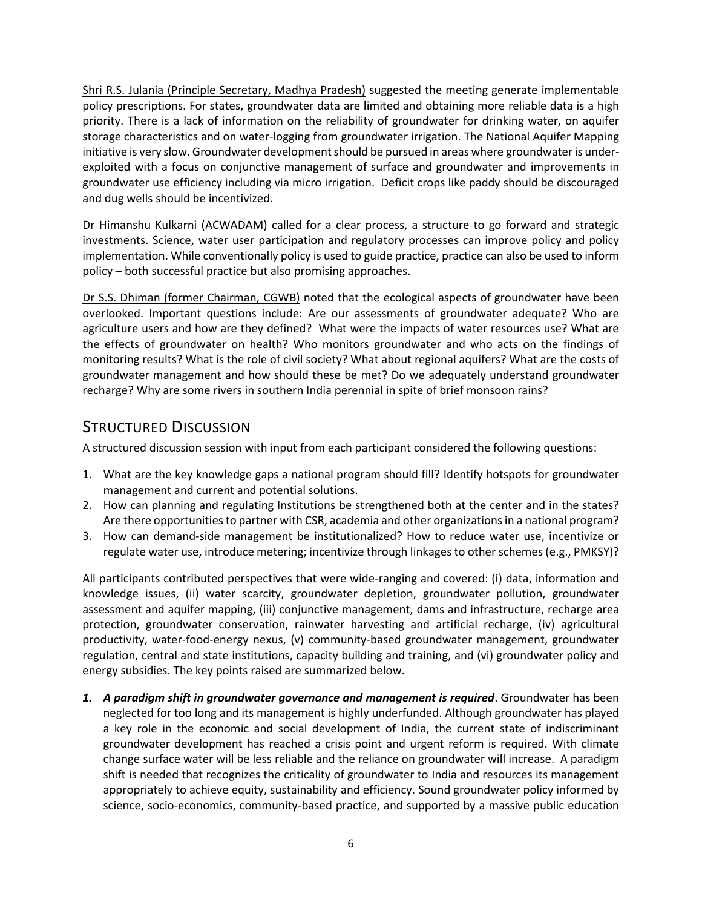Shri R.S. Julania (Principle Secretary, Madhya Pradesh) suggested the meeting generate implementable policy prescriptions. For states, groundwater data are limited and obtaining more reliable data is a high priority. There is a lack of information on the reliability of groundwater for drinking water, on aquifer storage characteristics and on water-logging from groundwater irrigation. The National Aquifer Mapping initiative is very slow. Groundwater development should be pursued in areas where groundwater is underexploited with a focus on conjunctive management of surface and groundwater and improvements in groundwater use efficiency including via micro irrigation. Deficit crops like paddy should be discouraged and dug wells should be incentivized.

Dr Himanshu Kulkarni (ACWADAM) called for a clear process, a structure to go forward and strategic investments. Science, water user participation and regulatory processes can improve policy and policy implementation. While conventionally policy is used to guide practice, practice can also be used to inform policy – both successful practice but also promising approaches.

Dr S.S. Dhiman (former Chairman, CGWB) noted that the ecological aspects of groundwater have been overlooked. Important questions include: Are our assessments of groundwater adequate? Who are agriculture users and how are they defined? What were the impacts of water resources use? What are the effects of groundwater on health? Who monitors groundwater and who acts on the findings of monitoring results? What is the role of civil society? What about regional aquifers? What are the costs of groundwater management and how should these be met? Do we adequately understand groundwater recharge? Why are some rivers in southern India perennial in spite of brief monsoon rains?

# STRUCTURED DISCUSSION

A structured discussion session with input from each participant considered the following questions:

- 1. What are the key knowledge gaps a national program should fill? Identify hotspots for groundwater management and current and potential solutions.
- 2. How can planning and regulating Institutions be strengthened both at the center and in the states? Are there opportunities to partner with CSR, academia and other organizations in a national program?
- 3. How can demand-side management be institutionalized? How to reduce water use, incentivize or regulate water use, introduce metering; incentivize through linkages to other schemes (e.g., PMKSY)?

All participants contributed perspectives that were wide-ranging and covered: (i) data, information and knowledge issues, (ii) water scarcity, groundwater depletion, groundwater pollution, groundwater assessment and aquifer mapping, (iii) conjunctive management, dams and infrastructure, recharge area protection, groundwater conservation, rainwater harvesting and artificial recharge, (iv) agricultural productivity, water-food-energy nexus, (v) community-based groundwater management, groundwater regulation, central and state institutions, capacity building and training, and (vi) groundwater policy and energy subsidies. The key points raised are summarized below.

*1. A paradigm shift in groundwater governance and management is required*. Groundwater has been neglected for too long and its management is highly underfunded. Although groundwater has played a key role in the economic and social development of India, the current state of indiscriminant groundwater development has reached a crisis point and urgent reform is required. With climate change surface water will be less reliable and the reliance on groundwater will increase. A paradigm shift is needed that recognizes the criticality of groundwater to India and resources its management appropriately to achieve equity, sustainability and efficiency. Sound groundwater policy informed by science, socio-economics, community-based practice, and supported by a massive public education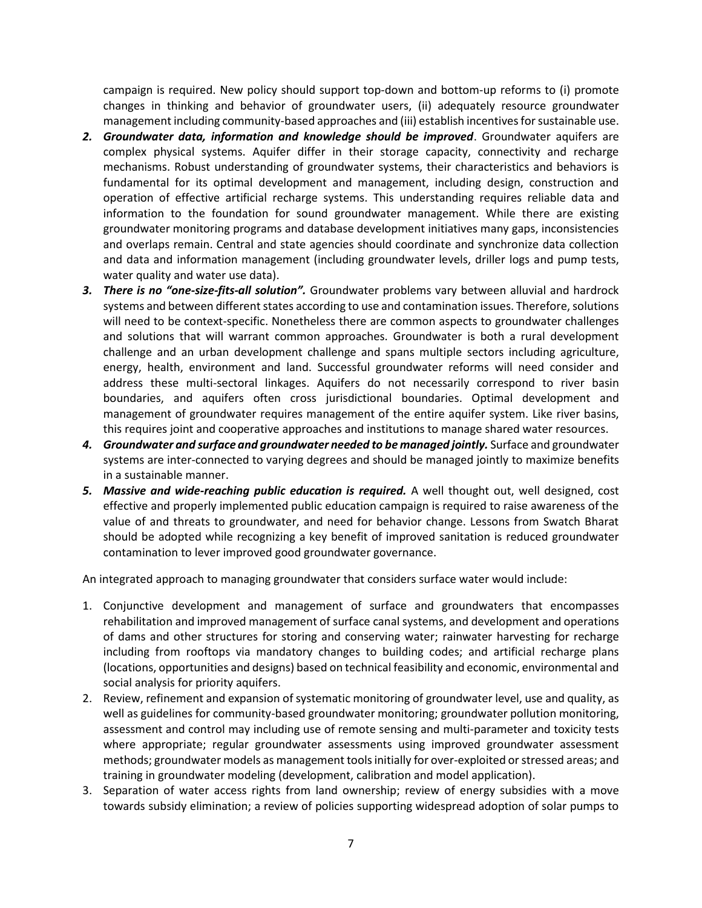campaign is required. New policy should support top-down and bottom-up reforms to (i) promote changes in thinking and behavior of groundwater users, (ii) adequately resource groundwater management including community-based approaches and (iii) establish incentives for sustainable use.

- *2. Groundwater data, information and knowledge should be improved*. Groundwater aquifers are complex physical systems. Aquifer differ in their storage capacity, connectivity and recharge mechanisms. Robust understanding of groundwater systems, their characteristics and behaviors is fundamental for its optimal development and management, including design, construction and operation of effective artificial recharge systems. This understanding requires reliable data and information to the foundation for sound groundwater management. While there are existing groundwater monitoring programs and database development initiatives many gaps, inconsistencies and overlaps remain. Central and state agencies should coordinate and synchronize data collection and data and information management (including groundwater levels, driller logs and pump tests, water quality and water use data).
- *3. There is no "one-size-fits-all solution".* Groundwater problems vary between alluvial and hardrock systems and between different states according to use and contamination issues. Therefore, solutions will need to be context-specific. Nonetheless there are common aspects to groundwater challenges and solutions that will warrant common approaches. Groundwater is both a rural development challenge and an urban development challenge and spans multiple sectors including agriculture, energy, health, environment and land. Successful groundwater reforms will need consider and address these multi-sectoral linkages. Aquifers do not necessarily correspond to river basin boundaries, and aquifers often cross jurisdictional boundaries. Optimal development and management of groundwater requires management of the entire aquifer system. Like river basins, this requires joint and cooperative approaches and institutions to manage shared water resources.
- *4. Groundwater and surface and groundwater needed to be managed jointly.* Surface and groundwater systems are inter-connected to varying degrees and should be managed jointly to maximize benefits in a sustainable manner.
- *5. Massive and wide-reaching public education is required.* A well thought out, well designed, cost effective and properly implemented public education campaign is required to raise awareness of the value of and threats to groundwater, and need for behavior change. Lessons from Swatch Bharat should be adopted while recognizing a key benefit of improved sanitation is reduced groundwater contamination to lever improved good groundwater governance.

An integrated approach to managing groundwater that considers surface water would include:

- 1. Conjunctive development and management of surface and groundwaters that encompasses rehabilitation and improved management of surface canal systems, and development and operations of dams and other structures for storing and conserving water; rainwater harvesting for recharge including from rooftops via mandatory changes to building codes; and artificial recharge plans (locations, opportunities and designs) based on technical feasibility and economic, environmental and social analysis for priority aquifers.
- 2. Review, refinement and expansion of systematic monitoring of groundwater level, use and quality, as well as guidelines for community-based groundwater monitoring; groundwater pollution monitoring, assessment and control may including use of remote sensing and multi-parameter and toxicity tests where appropriate; regular groundwater assessments using improved groundwater assessment methods; groundwater models as management tools initially for over-exploited or stressed areas; and training in groundwater modeling (development, calibration and model application).
- 3. Separation of water access rights from land ownership; review of energy subsidies with a move towards subsidy elimination; a review of policies supporting widespread adoption of solar pumps to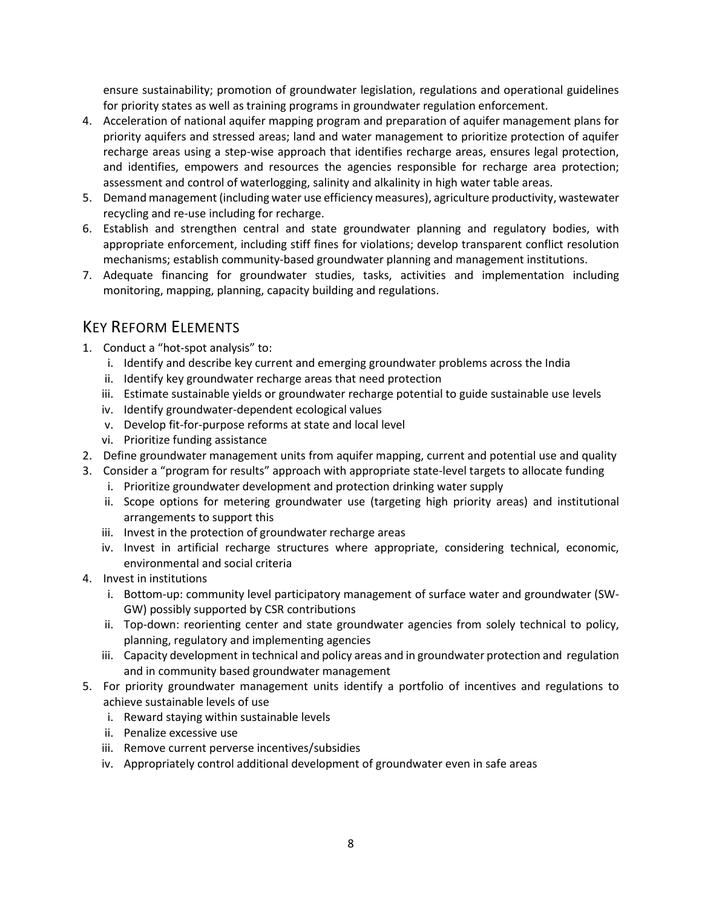ensure sustainability; promotion of groundwater legislation, regulations and operational guidelines for priority states as well as training programs in groundwater regulation enforcement.

- 4. Acceleration of national aquifer mapping program and preparation of aquifer management plans for priority aquifers and stressed areas; land and water management to prioritize protection of aquifer recharge areas using a step-wise approach that identifies recharge areas, ensures legal protection, and identifies, empowers and resources the agencies responsible for recharge area protection; assessment and control of waterlogging, salinity and alkalinity in high water table areas.
- 5. Demand management (including water use efficiency measures), agriculture productivity, wastewater recycling and re-use including for recharge.
- 6. Establish and strengthen central and state groundwater planning and regulatory bodies, with appropriate enforcement, including stiff fines for violations; develop transparent conflict resolution mechanisms; establish community-based groundwater planning and management institutions.
- 7. Adequate financing for groundwater studies, tasks, activities and implementation including monitoring, mapping, planning, capacity building and regulations.

### KEY REFORM ELEMENTS

- 1. Conduct a "hot-spot analysis" to:
	- i. Identify and describe key current and emerging groundwater problems across the India
	- ii. Identify key groundwater recharge areas that need protection
	- iii. Estimate sustainable yields or groundwater recharge potential to guide sustainable use levels
	- iv. Identify groundwater-dependent ecological values
	- v. Develop fit-for-purpose reforms at state and local level
	- vi. Prioritize funding assistance
- 2. Define groundwater management units from aquifer mapping, current and potential use and quality
- 3. Consider a "program for results" approach with appropriate state-level targets to allocate funding
	- i. Prioritize groundwater development and protection drinking water supply
	- ii. Scope options for metering groundwater use (targeting high priority areas) and institutional arrangements to support this
	- iii. Invest in the protection of groundwater recharge areas
	- iv. Invest in artificial recharge structures where appropriate, considering technical, economic, environmental and social criteria
- 4. Invest in institutions
	- i. Bottom-up: community level participatory management of surface water and groundwater (SW-GW) possibly supported by CSR contributions
	- ii. Top-down: reorienting center and state groundwater agencies from solely technical to policy, planning, regulatory and implementing agencies
	- iii. Capacity development in technical and policy areas and in groundwater protection and regulation and in community based groundwater management
- 5. For priority groundwater management units identify a portfolio of incentives and regulations to achieve sustainable levels of use
	- i. Reward staying within sustainable levels
	- ii. Penalize excessive use
	- iii. Remove current perverse incentives/subsidies
	- iv. Appropriately control additional development of groundwater even in safe areas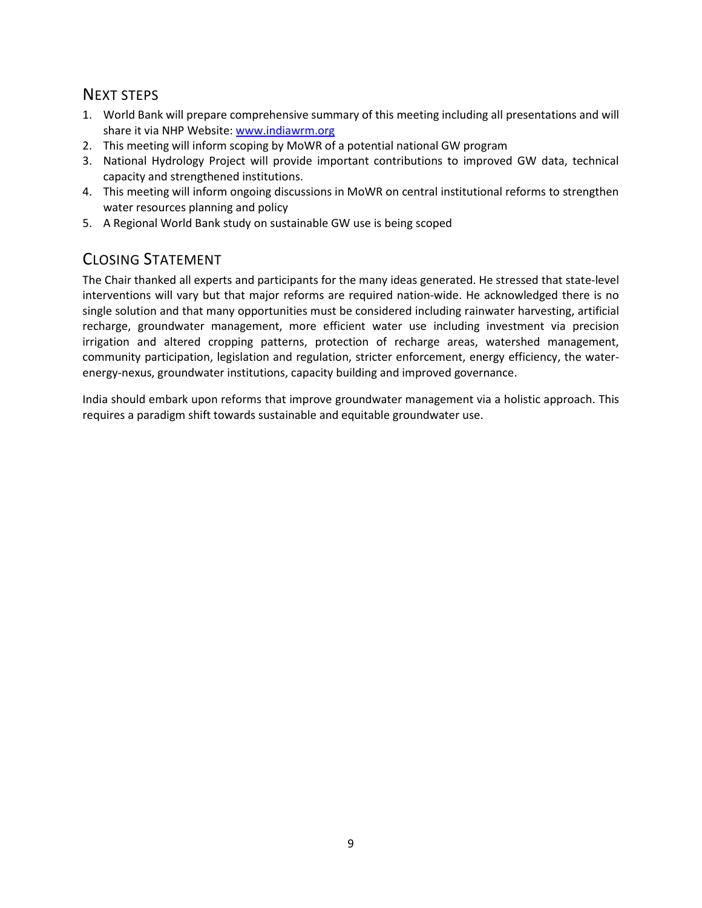### NEXT STEPS

- 1. World Bank will prepare comprehensive summary of this meeting including all presentations and will share it via NHP Website[: www.indiawrm.org](http://www.indiawrm.org/)
- 2. This meeting will inform scoping by MoWR of a potential national GW program
- 3. National Hydrology Project will provide important contributions to improved GW data, technical capacity and strengthened institutions.
- 4. This meeting will inform ongoing discussions in MoWR on central institutional reforms to strengthen water resources planning and policy
- 5. A Regional World Bank study on sustainable GW use is being scoped

# CLOSING STATEMENT

The Chair thanked all experts and participants for the many ideas generated. He stressed that state-level interventions will vary but that major reforms are required nation-wide. He acknowledged there is no single solution and that many opportunities must be considered including rainwater harvesting, artificial recharge, groundwater management, more efficient water use including investment via precision irrigation and altered cropping patterns, protection of recharge areas, watershed management, community participation, legislation and regulation, stricter enforcement, energy efficiency, the waterenergy-nexus, groundwater institutions, capacity building and improved governance.

India should embark upon reforms that improve groundwater management via a holistic approach. This requires a paradigm shift towards sustainable and equitable groundwater use.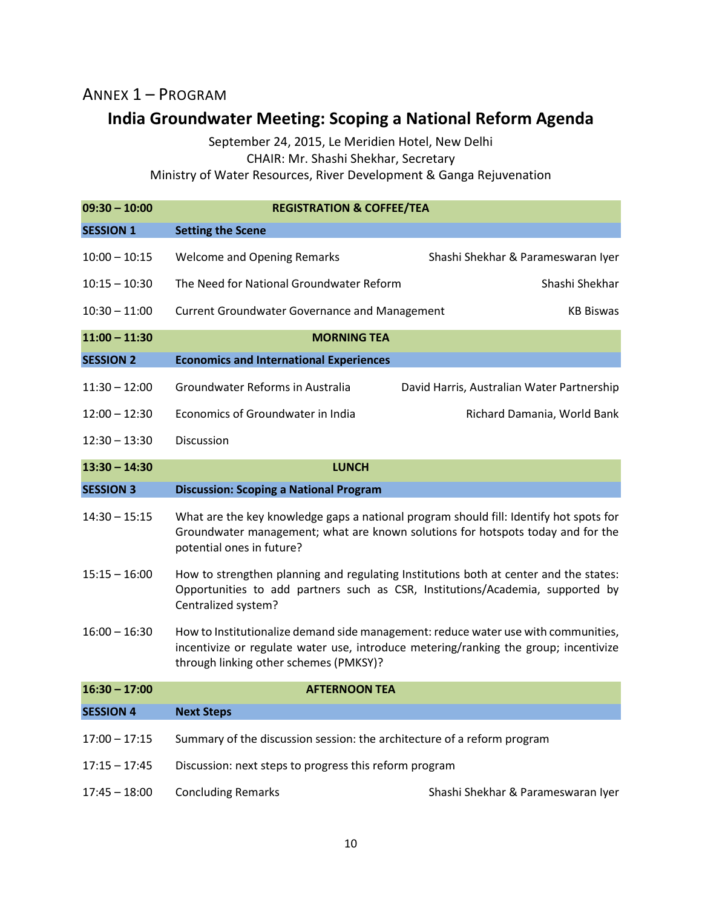## ANNEX 1 – PROGRAM

# **India Groundwater Meeting: Scoping a National Reform Agenda**

September 24, 2015, Le Meridien Hotel, New Delhi CHAIR: Mr. Shashi Shekhar, Secretary

Ministry of Water Resources, River Development & Ganga Rejuvenation

| $09:30 - 10:00$  | <b>REGISTRATION &amp; COFFEE/TEA</b>                                                                                                                                                                                 |                                            |  |
|------------------|----------------------------------------------------------------------------------------------------------------------------------------------------------------------------------------------------------------------|--------------------------------------------|--|
| <b>SESSION 1</b> | <b>Setting the Scene</b>                                                                                                                                                                                             |                                            |  |
| $10:00 - 10:15$  | <b>Welcome and Opening Remarks</b>                                                                                                                                                                                   | Shashi Shekhar & Parameswaran Iyer         |  |
| $10:15 - 10:30$  | The Need for National Groundwater Reform                                                                                                                                                                             | Shashi Shekhar                             |  |
| $10:30 - 11:00$  | <b>Current Groundwater Governance and Management</b>                                                                                                                                                                 | <b>KB Biswas</b>                           |  |
| $11:00 - 11:30$  | <b>MORNING TEA</b>                                                                                                                                                                                                   |                                            |  |
| <b>SESSION 2</b> | <b>Economics and International Experiences</b>                                                                                                                                                                       |                                            |  |
| $11:30 - 12:00$  | Groundwater Reforms in Australia                                                                                                                                                                                     | David Harris, Australian Water Partnership |  |
| $12:00 - 12:30$  | Economics of Groundwater in India                                                                                                                                                                                    | Richard Damania, World Bank                |  |
| $12:30 - 13:30$  | Discussion                                                                                                                                                                                                           |                                            |  |
| $13:30 - 14:30$  | <b>LUNCH</b>                                                                                                                                                                                                         |                                            |  |
| <b>SESSION 3</b> | <b>Discussion: Scoping a National Program</b>                                                                                                                                                                        |                                            |  |
| $14:30 - 15:15$  | What are the key knowledge gaps a national program should fill: Identify hot spots for<br>Groundwater management; what are known solutions for hotspots today and for the<br>potential ones in future?               |                                            |  |
| $15:15 - 16:00$  | How to strengthen planning and regulating Institutions both at center and the states:<br>Opportunities to add partners such as CSR, Institutions/Academia, supported by<br>Centralized system?                       |                                            |  |
| $16:00 - 16:30$  | How to Institutionalize demand side management: reduce water use with communities,<br>incentivize or regulate water use, introduce metering/ranking the group; incentivize<br>through linking other schemes (PMKSY)? |                                            |  |
| $16:30 - 17:00$  | <b>AFTERNOON TEA</b>                                                                                                                                                                                                 |                                            |  |
| <b>SESSION 4</b> | <b>Next Steps</b>                                                                                                                                                                                                    |                                            |  |
| $17:00 - 17:15$  | Summary of the discussion session: the architecture of a reform program                                                                                                                                              |                                            |  |
| $17:15 - 17:45$  | Discussion: next steps to progress this reform program                                                                                                                                                               |                                            |  |
| $17:45 - 18:00$  | <b>Concluding Remarks</b>                                                                                                                                                                                            | Shashi Shekhar & Parameswaran Iyer         |  |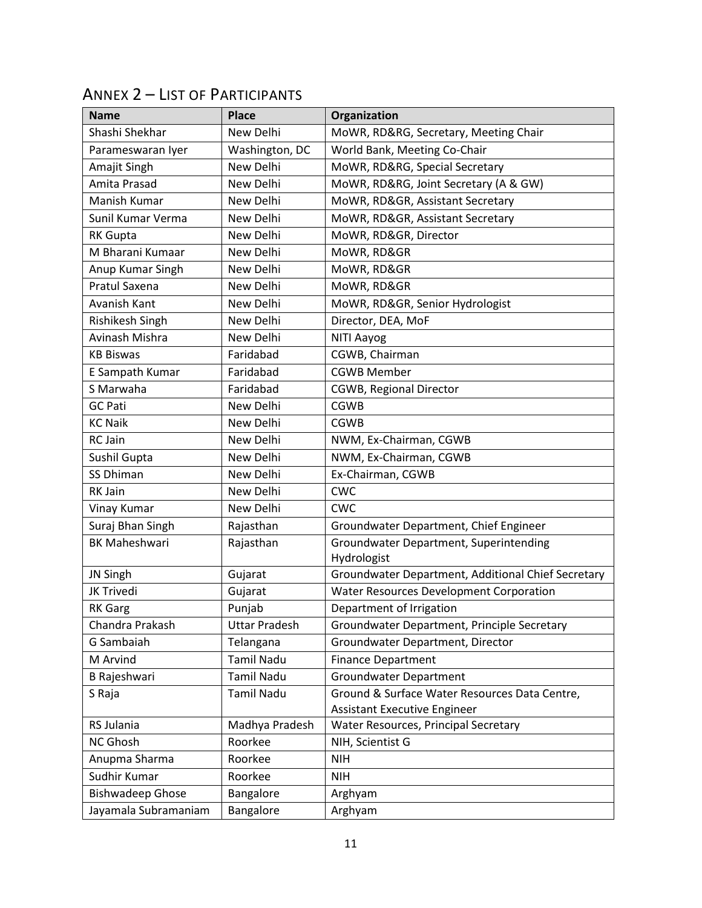| <b>Name</b>             | <b>Place</b>         | Organization                                       |
|-------------------------|----------------------|----------------------------------------------------|
| Shashi Shekhar          | New Delhi            | MoWR, RD&RG, Secretary, Meeting Chair              |
| Parameswaran Iyer       | Washington, DC       | World Bank, Meeting Co-Chair                       |
| Amajit Singh            | <b>New Delhi</b>     | MoWR, RD&RG, Special Secretary                     |
| Amita Prasad            | New Delhi            | MoWR, RD&RG, Joint Secretary (A & GW)              |
| Manish Kumar            | New Delhi            | MoWR, RD&GR, Assistant Secretary                   |
| Sunil Kumar Verma       | New Delhi            | MoWR, RD&GR, Assistant Secretary                   |
| <b>RK Gupta</b>         | New Delhi            | MoWR, RD&GR, Director                              |
| M Bharani Kumaar        | New Delhi            | MoWR, RD&GR                                        |
| Anup Kumar Singh        | New Delhi            | MoWR, RD&GR                                        |
| Pratul Saxena           | New Delhi            | MoWR, RD&GR                                        |
| Avanish Kant            | New Delhi            | MoWR, RD&GR, Senior Hydrologist                    |
| Rishikesh Singh         | New Delhi            | Director, DEA, MoF                                 |
| Avinash Mishra          | New Delhi            | NITI Aayog                                         |
| <b>KB Biswas</b>        | Faridabad            | CGWB, Chairman                                     |
| E Sampath Kumar         | Faridabad            | <b>CGWB Member</b>                                 |
| S Marwaha               | Faridabad            | <b>CGWB, Regional Director</b>                     |
| <b>GC Pati</b>          | New Delhi            | <b>CGWB</b>                                        |
| <b>KC Naik</b>          | New Delhi            | <b>CGWB</b>                                        |
| RC Jain                 | New Delhi            | NWM, Ex-Chairman, CGWB                             |
| Sushil Gupta            | New Delhi            | NWM, Ex-Chairman, CGWB                             |
| SS Dhiman               | New Delhi            | Ex-Chairman, CGWB                                  |
| RK Jain                 | New Delhi            | <b>CWC</b>                                         |
| Vinay Kumar             | New Delhi            | <b>CWC</b>                                         |
| Suraj Bhan Singh        | Rajasthan            | Groundwater Department, Chief Engineer             |
| <b>BK Maheshwari</b>    | Rajasthan            | Groundwater Department, Superintending             |
|                         |                      | Hydrologist                                        |
| JN Singh                | Gujarat              | Groundwater Department, Additional Chief Secretary |
| JK Trivedi              | Gujarat              | Water Resources Development Corporation            |
| <b>RK Garg</b>          | Punjab               | Department of Irrigation                           |
| Chandra Prakash         | <b>Uttar Pradesh</b> | Groundwater Department, Principle Secretary        |
| G Sambaiah              | Telangana            | Groundwater Department, Director                   |
| M Arvind                | <b>Tamil Nadu</b>    | <b>Finance Department</b>                          |
| B Rajeshwari            | Tamil Nadu           | <b>Groundwater Department</b>                      |
| S Raja                  | <b>Tamil Nadu</b>    | Ground & Surface Water Resources Data Centre,      |
|                         |                      | <b>Assistant Executive Engineer</b>                |
| RS Julania              | Madhya Pradesh       | Water Resources, Principal Secretary               |
| NC Ghosh                | Roorkee              | NIH, Scientist G                                   |
| Anupma Sharma           | Roorkee              | <b>NIH</b>                                         |
| Sudhir Kumar            | Roorkee              | <b>NIH</b>                                         |
| <b>Bishwadeep Ghose</b> | Bangalore            | Arghyam                                            |
| Jayamala Subramaniam    | Bangalore            | Arghyam                                            |

# ANNEX 2 – LIST OF PARTICIPANTS